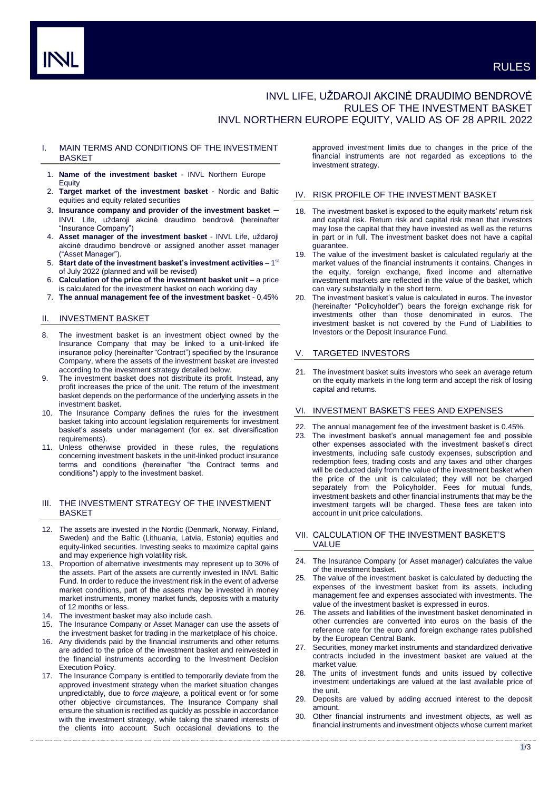# INVL LIFE, UŽDAROJI AKCINĖ DRAUDIMO BENDROVĖ RULES OF THE INVESTMENT BASKET INVL NORTHERN EUROPE EQUITY, VALID AS OF 28 APRIL 2022

# I. MAIN TERMS AND CONDITIONS OF THE INVESTMENT **BASKET**

- 1. **Name of the investment basket** INVL Northern Europe Equity
- 2. **Target market of the investment basket** Nordic and Baltic equities and equity related securities
- 3. **Insurance company and provider of the investment basket** INVL Life, uždaroji akcinė draudimo bendrovė (hereinafter "Insurance Company")
- 4. **Asset manager of the investment basket** INVL Life, uždaroji akcinė draudimo bendrovė or assigned another asset manager ("Asset Manager").
- 5. Start date of the investment basket's investment activities 1<sup>st</sup> of July 2022 (planned and will be revised)
- 6. **Calculation of the price of the investment basket unit** a price is calculated for the investment basket on each working day
- 7. **The annual management fee of the investment basket** 0.45%

# II. INVESTMENT BASKET

- 8. The investment basket is an investment object owned by the Insurance Company that may be linked to a unit-linked life insurance policy (hereinafter "Contract") specified by the Insurance Company, where the assets of the investment basket are invested according to the investment strategy detailed below.
- 9. The investment basket does not distribute its profit. Instead, any profit increases the price of the unit. The return of the investment basket depends on the performance of the underlying assets in the investment basket.
- 10. The Insurance Company defines the rules for the investment basket taking into account legislation requirements for investment basket's assets under management (for ex. set diversification requirements).
- 11. Unless otherwise provided in these rules, the regulations concerning investment baskets in the unit-linked product insurance terms and conditions (hereinafter "the Contract terms and conditions") apply to the investment basket.

# III. THE INVESTMENT STRATEGY OF THE INVESTMENT **BASKET**

- 12. The assets are invested in the Nordic (Denmark, Norway, Finland, Sweden) and the Baltic (Lithuania, Latvia, Estonia) equities and equity-linked securities. Investing seeks to maximize capital gains and may experience high volatility risk.
- 13. Proportion of alternative investments may represent up to 30% of the assets. Part of the assets are currently invested in INVL Baltic Fund. In order to reduce the investment risk in the event of adverse market conditions, part of the assets may be invested in money market instruments, money market funds, deposits with a maturity of 12 months or less.
- The investment basket may also include cash.
- 15. The Insurance Company or Asset Manager can use the assets of the investment basket for trading in the marketplace of his choice.
- 16. Any dividends paid by the financial instruments and other returns are added to the price of the investment basket and reinvested in the financial instruments according to the Investment Decision Execution Policy.
- 17. The Insurance Company is entitled to temporarily deviate from the approved investment strategy when the market situation changes unpredictably, due to *force majeure,* a political event or for some other objective circumstances. The Insurance Company shall ensure the situation is rectified as quickly as possible in accordance with the investment strategy, while taking the shared interests of the clients into account. Such occasional deviations to the

approved investment limits due to changes in the price of the financial instruments are not regarded as exceptions to the investment strategy.

### IV. RISK PROFILE OF THE INVESTMENT BASKET

- 18. The investment basket is exposed to the equity markets' return risk and capital risk. Return risk and capital risk mean that investors may lose the capital that they have invested as well as the returns in part or in full. The investment basket does not have a capital guarantee.
- 19. The value of the investment basket is calculated regularly at the market values of the financial instruments it contains. Changes in the equity, foreign exchange, fixed income and alternative investment markets are reflected in the value of the basket, which can vary substantially in the short term.
- The investment basket's value is calculated in euros. The investor (hereinafter "Policyholder") bears the foreign exchange risk for investments other than those denominated in euros. The investment basket is not covered by the Fund of Liabilities to Investors or the Deposit Insurance Fund.

# V. TARGETED INVESTORS

21. The investment basket suits investors who seek an average return on the equity markets in the long term and accept the risk of losing capital and returns.

### VI. INVESTMENT BASKET'S FEES AND EXPENSES

- 22. The annual management fee of the investment basket is 0.45%.
- 23. The investment basket's annual management fee and possible other expenses associated with the investment basket's direct investments, including safe custody expenses, subscription and redemption fees, trading costs and any taxes and other charges will be deducted daily from the value of the investment basket when the price of the unit is calculated; they will not be charged separately from the Policyholder. Fees for mutual funds, investment baskets and other financial instruments that may be the investment targets will be charged. These fees are taken into account in unit price calculations.
- VII. CALCULATION OF THE INVESTMENT BASKET'S VALUE
- 24. The Insurance Company (or Asset manager) calculates the value of the investment basket.
- 25. The value of the investment basket is calculated by deducting the expenses of the investment basket from its assets, including management fee and expenses associated with investments. The value of the investment basket is expressed in euros.
- 26. The assets and liabilities of the investment basket denominated in other currencies are converted into euros on the basis of the reference rate for the euro and foreign exchange rates published by the European Central Bank.
- 27. Securities, money market instruments and standardized derivative contracts included in the investment basket are valued at the market value.
- 28. The units of investment funds and units issued by collective investment undertakings are valued at the last available price of the unit.
- 29. Deposits are valued by adding accrued interest to the deposit amount.
- 30. Other financial instruments and investment objects, as well as financial instruments and investment objects whose current market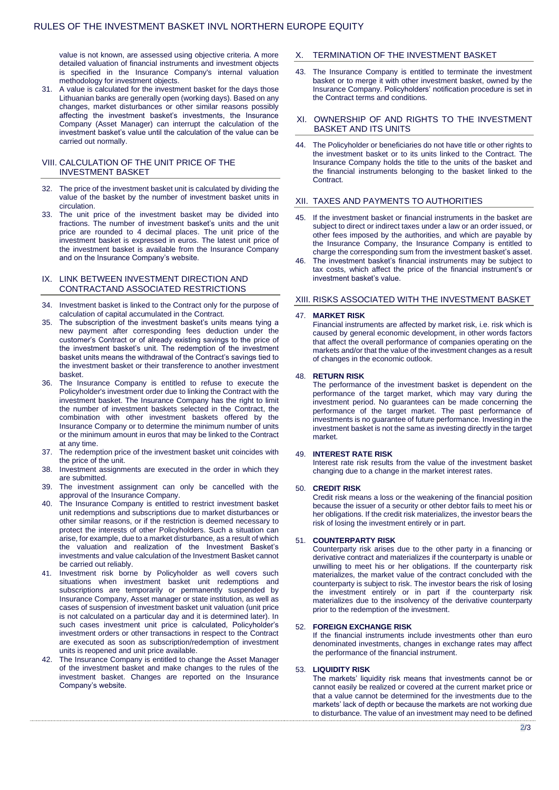value is not known, are assessed using objective criteria. A more detailed valuation of financial instruments and investment objects is specified in the Insurance Company's internal valuation methodology for investment objects.

31. A value is calculated for the investment basket for the days those Lithuanian banks are generally open (working days). Based on any changes, market disturbances or other similar reasons possibly affecting the investment basket's investments, the Insurance Company (Asset Manager) can interrupt the calculation of the investment basket's value until the calculation of the value can be carried out normally.

# VIII. CALCULATION OF THE UNIT PRICE OF THE INVESTMENT BASKET

- 32. The price of the investment basket unit is calculated by dividing the value of the basket by the number of investment basket units in circulation.
- 33. The unit price of the investment basket may be divided into fractions. The number of investment basket's units and the unit price are rounded to 4 decimal places. The unit price of the investment basket is expressed in euros. The latest unit price of the investment basket is available from the Insurance Company and on the Insurance Company's website.

### IX. LINK BETWEEN INVESTMENT DIRECTION AND CONTRACTAND ASSOCIATED RESTRICTIONS

- 34. Investment basket is linked to the Contract only for the purpose of calculation of capital accumulated in the Contract.
- 35. The subscription of the investment basket's units means tying a new payment after corresponding fees deduction under the customer's Contract or of already existing savings to the price of the investment basket's unit. The redemption of the investment basket units means the withdrawal of the Contract's savings tied to the investment basket or their transference to another investment basket.
- 36. The Insurance Company is entitled to refuse to execute the Policyholder's investment order due to linking the Contract with the investment basket. The Insurance Company has the right to limit the number of investment baskets selected in the Contract, the combination with other investment baskets offered by the Insurance Company or to determine the minimum number of units or the minimum amount in euros that may be linked to the Contract at any time.
- 37. The redemption price of the investment basket unit coincides with the price of the unit.
- 38. Investment assignments are executed in the order in which they are submitted.
- 39. The investment assignment can only be cancelled with the approval of the Insurance Company.
- 40. The Insurance Company is entitled to restrict investment basket unit redemptions and subscriptions due to market disturbances or other similar reasons, or if the restriction is deemed necessary to protect the interests of other Policyholders. Such a situation can arise, for example, due to a market disturbance, as a result of which the valuation and realization of the Investment Basket's investments and value calculation of the Investment Basket cannot be carried out reliably.
- 41. Investment risk borne by Policyholder as well covers such situations when investment basket unit redemptions and subscriptions are temporarily or permanently suspended by Insurance Company, Asset manager or state institution, as well as cases of suspension of investment basket unit valuation (unit price is not calculated on a particular day and it is determined later). In such cases investment unit price is calculated, Policyholder's investment orders or other transactions in respect to the Contract are executed as soon as subscription/redemption of investment units is reopened and unit price available.
- 42. The Insurance Company is entitled to change the Asset Manager of the investment basket and make changes to the rules of the investment basket. Changes are reported on the Insurance Company's website.

# X. TERMINATION OF THE INVESTMENT BASKET

43. The Insurance Company is entitled to terminate the investment basket or to merge it with other investment basket, owned by the Insurance Company. Policyholders' notification procedure is set in the Contract terms and conditions.

## XI. OWNERSHIP OF AND RIGHTS TO THE INVESTMENT BASKET AND ITS UNITS

44. The Policyholder or beneficiaries do not have title or other rights to the investment basket or to its units linked to the Contract. The Insurance Company holds the title to the units of the basket and the financial instruments belonging to the basket linked to the Contract.

# XII. TAXES AND PAYMENTS TO AUTHORITIES

- 45. If the investment basket or financial instruments in the basket are subject to direct or indirect taxes under a law or an order issued, or other fees imposed by the authorities, and which are payable by the Insurance Company, the Insurance Company is entitled to charge the corresponding sum from the investment basket's asset.
- The investment basket's financial instruments may be subject to tax costs, which affect the price of the financial instrument's or investment basket's value.

#### XIII. RISKS ASSOCIATED WITH THE INVESTMENT BASKET

#### 47. **MARKET RISK**

Financial instruments are affected by market risk, i.e. risk which is caused by general economic development, in other words factors that affect the overall performance of companies operating on the markets and/or that the value of the investment changes as a result of changes in the economic outlook.

#### 48. **RETURN RISK**

The performance of the investment basket is dependent on the performance of the target market, which may vary during the investment period. No guarantees can be made concerning the performance of the target market. The past performance of investments is no guarantee of future performance. Investing in the investment basket is not the same as investing directly in the target market.

## 49. **INTEREST RATE RISK**

Interest rate risk results from the value of the investment basket changing due to a change in the market interest rates.

#### 50. **CREDIT RISK**

Credit risk means a loss or the weakening of the financial position because the issuer of a security or other debtor fails to meet his or her obligations. If the credit risk materializes, the investor bears the risk of losing the investment entirely or in part.

# 51. **COUNTERPARTY RISK**

Counterparty risk arises due to the other party in a financing or derivative contract and materializes if the counterparty is unable or unwilling to meet his or her obligations. If the counterparty risk materializes, the market value of the contract concluded with the counterparty is subject to risk. The investor bears the risk of losing the investment entirely or in part if the counterparty risk materializes due to the insolvency of the derivative counterparty prior to the redemption of the investment.

#### 52. **FOREIGN EXCHANGE RISK**

If the financial instruments include investments other than euro denominated investments, changes in exchange rates may affect the performance of the financial instrument.

#### 53. **LIQUIDITY RISK**

The markets' liquidity risk means that investments cannot be or cannot easily be realized or covered at the current market price or that a value cannot be determined for the investments due to the markets' lack of depth or because the markets are not working due to disturbance. The value of an investment may need to be defined